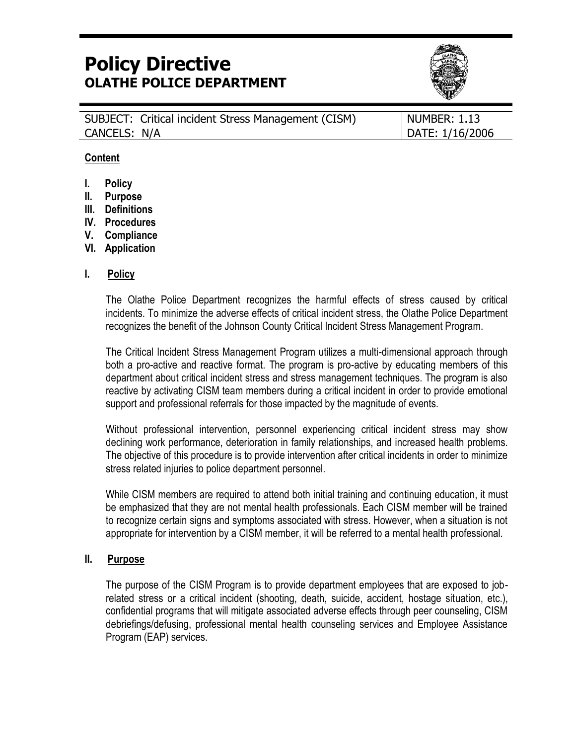# **Policy Directive OLATHE POLICE DEPARTMENT**



|              | SUBJECT: Critical incident Stress Management (CISM) | NUMBER: 1.13    |
|--------------|-----------------------------------------------------|-----------------|
| CANCELS: N/A |                                                     | DATE: 1/16/2006 |

#### **Content**

- **I. Policy**
- **II. Purpose**
- **III. Definitions**
- **IV. Procedures**
- **V. Compliance**
- **VI. Application**

#### **I. Policy**

The Olathe Police Department recognizes the harmful effects of stress caused by critical incidents. To minimize the adverse effects of critical incident stress, the Olathe Police Department recognizes the benefit of the Johnson County Critical Incident Stress Management Program.

The Critical Incident Stress Management Program utilizes a multi-dimensional approach through both a pro-active and reactive format. The program is pro-active by educating members of this department about critical incident stress and stress management techniques. The program is also reactive by activating CISM team members during a critical incident in order to provide emotional support and professional referrals for those impacted by the magnitude of events.

Without professional intervention, personnel experiencing critical incident stress may show declining work performance, deterioration in family relationships, and increased health problems. The objective of this procedure is to provide intervention after critical incidents in order to minimize stress related injuries to police department personnel.

While CISM members are required to attend both initial training and continuing education, it must be emphasized that they are not mental health professionals. Each CISM member will be trained to recognize certain signs and symptoms associated with stress. However, when a situation is not appropriate for intervention by a CISM member, it will be referred to a mental health professional.

#### **II. Purpose**

The purpose of the CISM Program is to provide department employees that are exposed to jobrelated stress or a critical incident (shooting, death, suicide, accident, hostage situation, etc.), confidential programs that will mitigate associated adverse effects through peer counseling, CISM debriefings/defusing, professional mental health counseling services and Employee Assistance Program (EAP) services.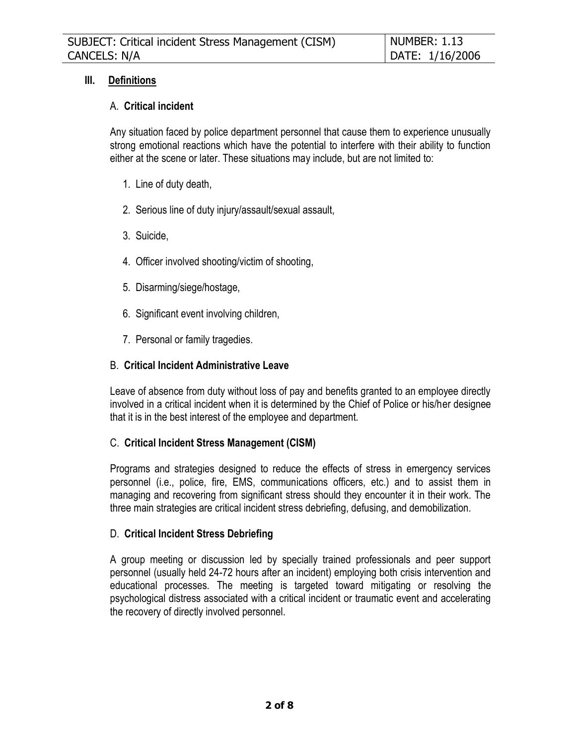## **III. Definitions**

### A. **Critical incident**

Any situation faced by police department personnel that cause them to experience unusually strong emotional reactions which have the potential to interfere with their ability to function either at the scene or later. These situations may include, but are not limited to:

- 1. Line of duty death,
- 2. Serious line of duty injury/assault/sexual assault,
- 3. Suicide,
- 4. Officer involved shooting/victim of shooting,
- 5. Disarming/siege/hostage,
- 6. Significant event involving children,
- 7. Personal or family tragedies.

### B. **Critical Incident Administrative Leave**

Leave of absence from duty without loss of pay and benefits granted to an employee directly involved in a critical incident when it is determined by the Chief of Police or his/her designee that it is in the best interest of the employee and department.

### C. **Critical Incident Stress Management (CISM)**

Programs and strategies designed to reduce the effects of stress in emergency services personnel (i.e., police, fire, EMS, communications officers, etc.) and to assist them in managing and recovering from significant stress should they encounter it in their work. The three main strategies are critical incident stress debriefing, defusing, and demobilization.

#### D. **Critical Incident Stress Debriefing**

A group meeting or discussion led by specially trained professionals and peer support personnel (usually held 24-72 hours after an incident) employing both crisis intervention and educational processes. The meeting is targeted toward mitigating or resolving the psychological distress associated with a critical incident or traumatic event and accelerating the recovery of directly involved personnel.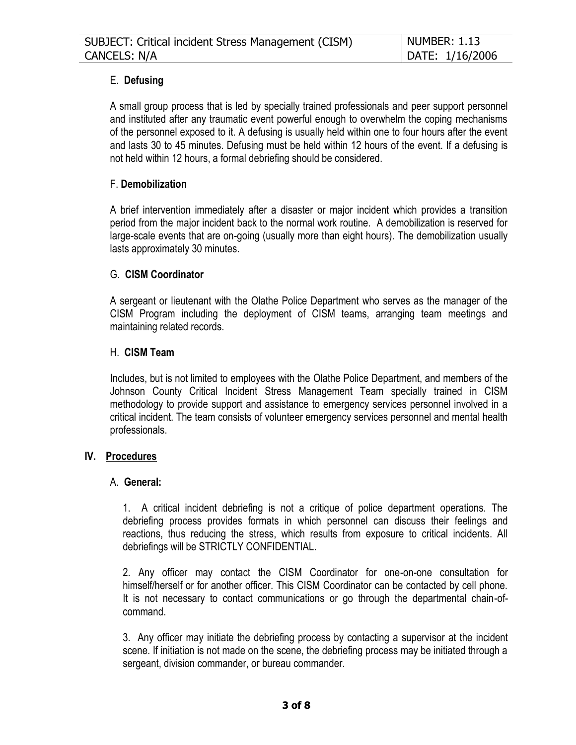# E. **Defusing**

A small group process that is led by specially trained professionals and peer support personnel and instituted after any traumatic event powerful enough to overwhelm the coping mechanisms of the personnel exposed to it. A defusing is usually held within one to four hours after the event and lasts 30 to 45 minutes. Defusing must be held within 12 hours of the event. If a defusing is not held within 12 hours, a formal debriefing should be considered.

## F. **Demobilization**

A brief intervention immediately after a disaster or major incident which provides a transition period from the major incident back to the normal work routine. A demobilization is reserved for large-scale events that are on-going (usually more than eight hours). The demobilization usually lasts approximately 30 minutes.

### G. **CISM Coordinator**

A sergeant or lieutenant with the Olathe Police Department who serves as the manager of the CISM Program including the deployment of CISM teams, arranging team meetings and maintaining related records.

### H. **CISM Team**

Includes, but is not limited to employees with the Olathe Police Department, and members of the Johnson County Critical Incident Stress Management Team specially trained in CISM methodology to provide support and assistance to emergency services personnel involved in a critical incident. The team consists of volunteer emergency services personnel and mental health professionals.

### **IV. Procedures**

### A. **General:**

1. A critical incident debriefing is not a critique of police department operations. The debriefing process provides formats in which personnel can discuss their feelings and reactions, thus reducing the stress, which results from exposure to critical incidents. All debriefings will be STRICTLY CONFIDENTIAL.

2. Any officer may contact the CISM Coordinator for one-on-one consultation for himself/herself or for another officer. This CISM Coordinator can be contacted by cell phone. It is not necessary to contact communications or go through the departmental chain-ofcommand.

3. Any officer may initiate the debriefing process by contacting a supervisor at the incident scene. If initiation is not made on the scene, the debriefing process may be initiated through a sergeant, division commander, or bureau commander.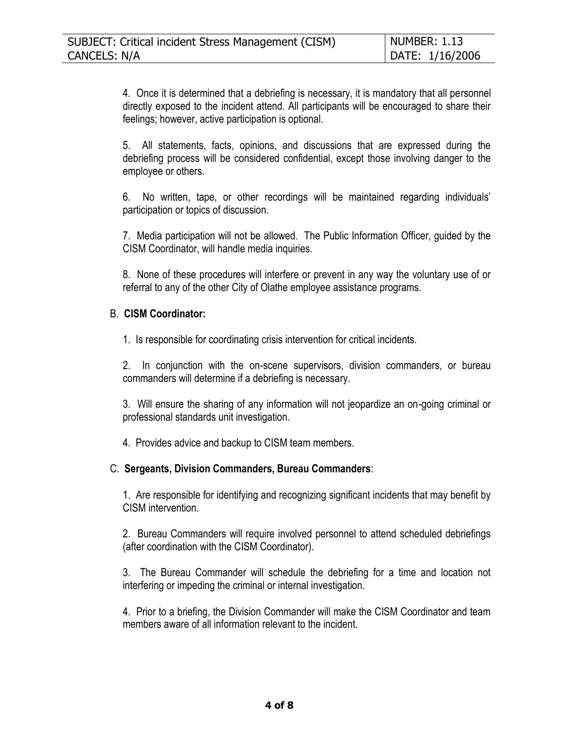4. Once it is determined that a debriefing is necessary, it is mandatory that all personnel directly exposed to the incident attend. All participants will be encouraged to share their feelings; however, active participation is optional.

5. All statements, facts, opinions, and discussions that are expressed during the debriefing process will be considered confidential, except those involving danger to the employee or others.

6. No written, tape, or other recordings will be maintained regarding individuals' participation or topics of discussion.

7. Media participation will not be allowed. The Public Information Officer, guided by the CISM Coordinator, will handle media inquiries.

8. None of these procedures will interfere or prevent in any way the voluntary use of or referral to any of the other City of Olathe employee assistance programs.

### B. **CISM Coordinator:**

1. Is responsible for coordinating crisis intervention for critical incidents.

2. In conjunction with the on-scene supervisors, division commanders, or bureau commanders will determine if a debriefing is necessary.

3. Will ensure the sharing of any information will not jeopardize an on-going criminal or professional standards unit investigation.

4. Provides advice and backup to CISM team members.

### C. **Sergeants, Division Commanders, Bureau Commanders**:

1. Are responsible for identifying and recognizing significant incidents that may benefit by CISM intervention.

2. Bureau Commanders will require involved personnel to attend scheduled debriefings (after coordination with the CISM Coordinator).

3. The Bureau Commander will schedule the debriefing for a time and location not interfering or impeding the criminal or internal investigation.

4. Prior to a briefing, the Division Commander will make the CISM Coordinator and team members aware of all information relevant to the incident.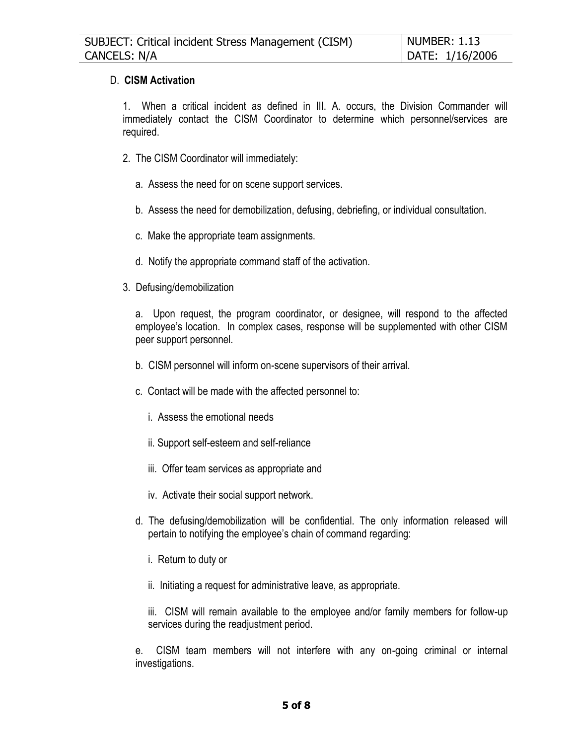#### D. **CISM Activation**

1. When a critical incident as defined in III. A. occurs, the Division Commander will immediately contact the CISM Coordinator to determine which personnel/services are required.

- 2. The CISM Coordinator will immediately:
	- a. Assess the need for on scene support services.
	- b. Assess the need for demobilization, defusing, debriefing, or individual consultation.
	- c. Make the appropriate team assignments.
	- d. Notify the appropriate command staff of the activation.
- 3. Defusing/demobilization

a. Upon request, the program coordinator, or designee, will respond to the affected employee's location. In complex cases, response will be supplemented with other CISM peer support personnel.

- b. CISM personnel will inform on-scene supervisors of their arrival.
- c. Contact will be made with the affected personnel to:
	- i. Assess the emotional needs
	- ii. Support self-esteem and self-reliance
	- iii. Offer team services as appropriate and
	- iv. Activate their social support network.
- d. The defusing/demobilization will be confidential. The only information released will pertain to notifying the employee's chain of command regarding:
	- i. Return to duty or
	- ii. Initiating a request for administrative leave, as appropriate.

iii. CISM will remain available to the employee and/or family members for follow-up services during the readjustment period.

e. CISM team members will not interfere with any on-going criminal or internal investigations.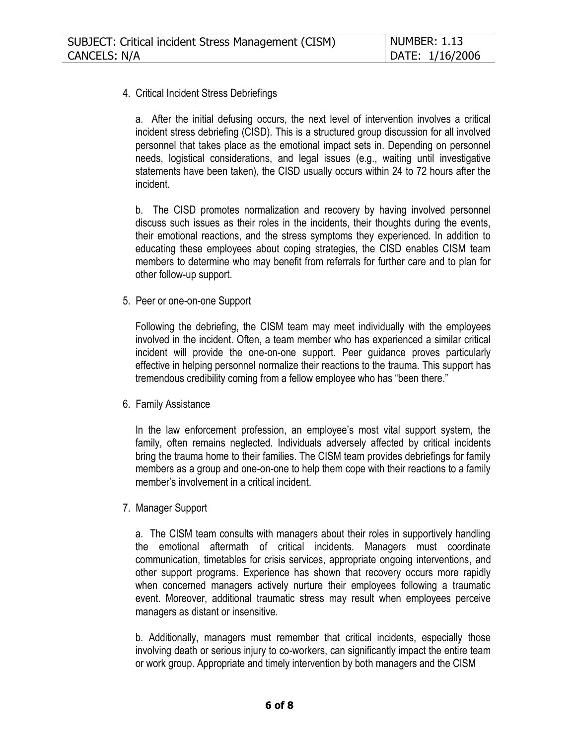## 4. Critical Incident Stress Debriefings

a. After the initial defusing occurs, the next level of intervention involves a critical incident stress debriefing (CISD). This is a structured group discussion for all involved personnel that takes place as the emotional impact sets in. Depending on personnel needs, logistical considerations, and legal issues (e.g., waiting until investigative statements have been taken), the CISD usually occurs within 24 to 72 hours after the incident.

b. The CISD promotes normalization and recovery by having involved personnel discuss such issues as their roles in the incidents, their thoughts during the events, their emotional reactions, and the stress symptoms they experienced. In addition to educating these employees about coping strategies, the CISD enables CISM team members to determine who may benefit from referrals for further care and to plan for other follow-up support.

5. Peer or one-on-one Support

Following the debriefing, the CISM team may meet individually with the employees involved in the incident. Often, a team member who has experienced a similar critical incident will provide the one-on-one support. Peer guidance proves particularly effective in helping personnel normalize their reactions to the trauma. This support has tremendous credibility coming from a fellow employee who has "been there."

6. Family Assistance

In the law enforcement profession, an employee's most vital support system, the family, often remains neglected. Individuals adversely affected by critical incidents bring the trauma home to their families. The CISM team provides debriefings for family members as a group and one-on-one to help them cope with their reactions to a family member's involvement in a critical incident.

7. Manager Support

a. The CISM team consults with managers about their roles in supportively handling the emotional aftermath of critical incidents. Managers must coordinate communication, timetables for crisis services, appropriate ongoing interventions, and other support programs. Experience has shown that recovery occurs more rapidly when concerned managers actively nurture their employees following a traumatic event. Moreover, additional traumatic stress may result when employees perceive managers as distant or insensitive.

b. Additionally, managers must remember that critical incidents, especially those involving death or serious injury to co-workers, can significantly impact the entire team or work group. Appropriate and timely intervention by both managers and the CISM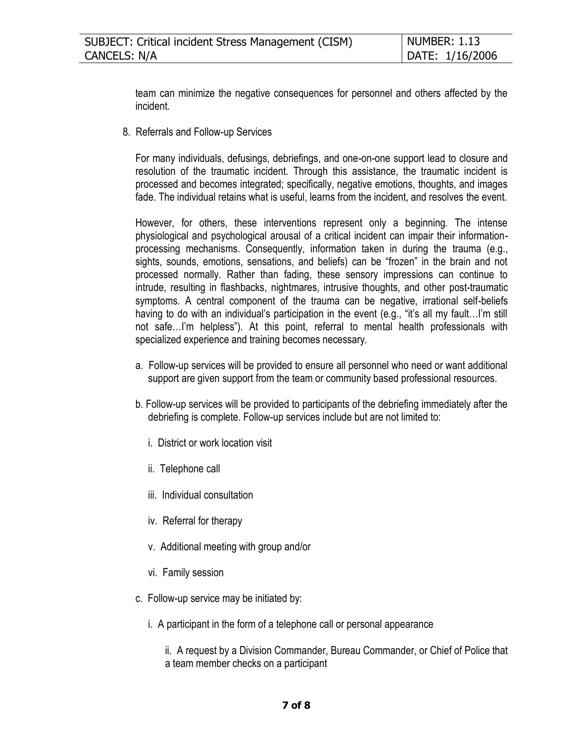team can minimize the negative consequences for personnel and others affected by the incident.

8. Referrals and Follow-up Services

For many individuals, defusings, debriefings, and one-on-one support lead to closure and resolution of the traumatic incident. Through this assistance, the traumatic incident is processed and becomes integrated; specifically, negative emotions, thoughts, and images fade. The individual retains what is useful, learns from the incident, and resolves the event.

However, for others, these interventions represent only a beginning. The intense physiological and psychological arousal of a critical incident can impair their informationprocessing mechanisms. Consequently, information taken in during the trauma (e.g., sights, sounds, emotions, sensations, and beliefs) can be "frozen" in the brain and not processed normally. Rather than fading, these sensory impressions can continue to intrude, resulting in flashbacks, nightmares, intrusive thoughts, and other post-traumatic symptoms. A central component of the trauma can be negative, irrational self-beliefs having to do with an individual's participation in the event (e.g., "it's all my fault...I'm still not safe…I'm helpless"). At this point, referral to mental health professionals with specialized experience and training becomes necessary.

- a. Follow-up services will be provided to ensure all personnel who need or want additional support are given support from the team or community based professional resources.
- b. Follow-up services will be provided to participants of the debriefing immediately after the debriefing is complete. Follow-up services include but are not limited to:
	- i. District or work location visit
	- ii. Telephone call
	- iii. Individual consultation
	- iv. Referral for therapy
	- v. Additional meeting with group and/or
	- vi. Family session
- c. Follow-up service may be initiated by:
	- i. A participant in the form of a telephone call or personal appearance

ii. A request by a Division Commander, Bureau Commander, or Chief of Police that a team member checks on a participant